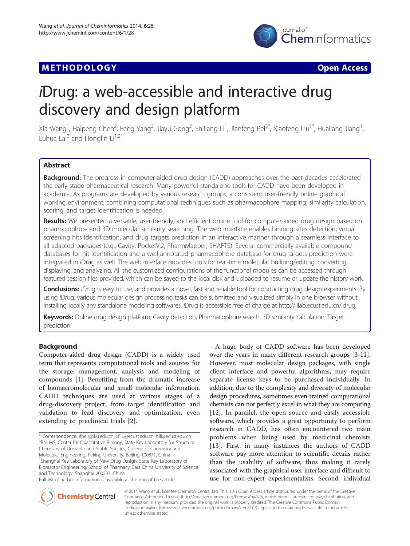# **METHODOLOGY CONSUMING ACCESS CONSUMING ACCESS**



# iDrug: a web-accessible and interactive drug discovery and design platform

Xia Wang<sup>1</sup>, Haipeng Chen<sup>2</sup>, Feng Yang<sup>2</sup>, Jiayu Gong<sup>2</sup>, Shiliang Li<sup>1</sup>, Jianfeng Pei<sup>3\*</sup>, Xiaofeng Liu<sup>1\*</sup>, Hualiang Jiang<sup>1</sup> , Luhua Lai<sup>3</sup> and Honglin Li<sup>1,2\*</sup>

# Abstract

Background: The progress in computer-aided drug design (CADD) approaches over the past decades accelerated the early-stage pharmaceutical research. Many powerful standalone tools for CADD have been developed in academia. As programs are developed by various research groups, a consistent user-friendly online graphical working environment, combining computational techniques such as pharmacophore mapping, similarity calculation, scoring, and target identification is needed.

Results: We presented a versatile, user-friendly, and efficient online tool for computer-aided drug design based on pharmacophore and 3D molecular similarity searching. The web interface enables binding sites detection, virtual screening hits identification, and drug targets prediction in an interactive manner through a seamless interface to all adapted packages (e.g., Cavity, PocketV.2, PharmMapper, SHAFTS). Several commercially available compound databases for hit identification and a well-annotated pharmacophore database for drug targets prediction were integrated in iDrug as well. The web interface provides tools for real-time molecular building/editing, converting, displaying, and analyzing. All the customized configurations of the functional modules can be accessed through featured session files provided, which can be saved to the local disk and uploaded to resume or update the history work.

Conclusions: iDrug is easy to use, and provides a novel, fast and reliable tool for conducting drug design experiments. By using iDrug, various molecular design processing tasks can be submitted and visualized simply in one browser without installing locally any standalone modeling softwares. iDrug is accessible free of charge at<http://lilab.ecust.edu.cn/idrug>.

Keywords: Online drug design platform, Cavity detection, Pharmacophore search, 3D similarity calculation, Target prediction

# Background

Computer-aided drug design (CADD) is a widely used term that represents computational tools and sources for the storage, management, analysis and modeling of compounds [[1\]](#page-6-0). Benefiting from the dramatic increase of biomacromolecular and small molecular information, CADD techniques are used at various stages of a drug-discovery project, from target identification and validation to lead discovery and optimization, even extending to preclinical trials [[2\]](#page-6-0).

A huge body of CADD software has been developed over the years in many different research groups [[3-11](#page-6-0)]. However, most molecular design packages, with single client interface and powerful algorithms, may require separate license keys to be purchased individually. In addition, due to the complexity and diversity of molecular design procedures, sometimes even trained computational chemists can not perfectly excel in what they are computing [[12\]](#page-6-0). In parallel, the open source and easily accessible software, which provides a great opportunity to perform research in CADD, has often encountered two main problems when being used by medicinal chemists [[13\]](#page-6-0). First, in many instances the authors of CADD software pay more attention to scientific details rather than the usability of software, thus making it rarely associated with the graphical user interface and difficult to use for non-expert experimentalists. Second, individual



© 2014 Wang et al.; licensee Chemistry Central Ltd. This is an Open Access article distributed under the terms of the Creative Commons Attribution License (<http://creativecommons.org/licenses/by/4.0>), which permits unrestricted use, distribution, and reproduction in any medium, provided the original work is properly credited. The Creative Commons Public Domain Dedication waiver (<http://creativecommons.org/publicdomain/zero/1.0/>) applies to the data made available in this article, unless otherwise stated.

<sup>\*</sup> Correspondence: [jfpei@pku.edu.cn](mailto:jfpei@pku.edu.cn); [xfliu@ecust.edu.cn](mailto:xfliu@ecust.edu.cn); [hlli@ecust.edu.cn](mailto:hlli@ecust.edu.cn) <sup>3</sup> <sup>3</sup>BNLMS, Center for Quantitative Biology, State Key Laboratory for Structural Chemistry of Unstable and Stable Species, College of Chemistry and Molecular Engineering, Peking University, Beijing 100871, China <sup>1</sup>Shanghai Key Laboratory of New Drug Design, State Key Laboratory of Bioreactor Engineering, School of Pharmacy, East China University of Science and Technology, Shanghai 200237, China

Full list of author information is available at the end of the article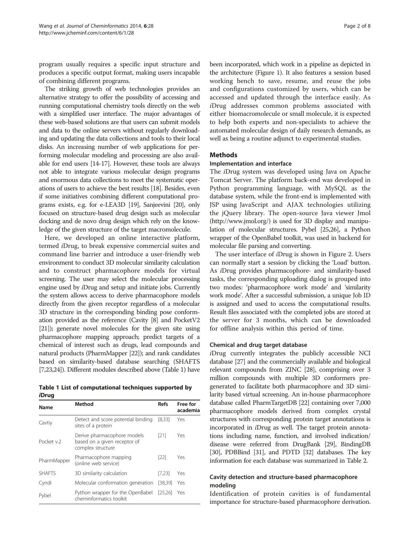program usually requires a specific input structure and produces a specific output format, making users incapable of combining different programs.

The striking growth of web technologies provides an alternative strategy to offer the possibility of accessing and running computational chemistry tools directly on the web with a simplified user interface. The major advantages of these web-based solutions are that users can submit models and data to the online servers without regularly downloading and updating the data collections and tools to their local disks. An increasing number of web applications for performing molecular modeling and processing are also available for end users [\[14-17](#page-6-0)]. However, these tools are always not able to integrate various molecular design programs and enormous data collections to meet the systematic operations of users to achieve the best results [\[18](#page-6-0)]. Besides, even if some initiatives combining different computational programs exists, e.g. for e-LEA3D [[19\]](#page-6-0), Sanjeevini [\[20](#page-6-0)], only focused on structure-based drug design such as molecular docking and de novo drug design which rely on the knowledge of the given structure of the target macromolecule.

Here, we developed an online interactive platform, termed iDrug, to break expensive commercial suites and command line barrier and introduce a user-friendly web environment to conduct 3D molecular similarity calculation and to construct pharmacophore models for virtual screening. The user may select the molecular processing engine used by iDrug and setup and initiate jobs. Currently the system allows access to derive pharmacophore models directly from the given receptor regardless of a molecular 3D structure in the corresponding binding pose conformation provided as the reference (Cavity [\[8\]](#page-6-0) and PocketV2 [[21](#page-6-0)]); generate novel molecules for the given site using pharmacophore mapping approach; predict targets of a chemical of interest such as drugs, lead compounds and natural products (PharmMapper [[22](#page-6-0)]); and rank candidates based on similarity-based database searching (SHAFTS [[7](#page-6-0)[,23,24](#page-7-0)]). Different modules described above (Table 1) have

Table 1 List of computational techniques supported by iDrug

| Name          | Method                                                                           | <b>Refs</b> | Free for<br>academia |  |
|---------------|----------------------------------------------------------------------------------|-------------|----------------------|--|
| Cavtiy        | Detect and score potential binding<br>sites of a protein                         |             | Yes                  |  |
| Pocket v.2    | Derive pharmacophore models<br>based on a given receptor of<br>complex structure | [21]        | Yes                  |  |
| PharmMapper   | Pharmacophore mapping<br>(online web service)                                    |             | Yes                  |  |
| <b>SHAFTS</b> | 3D similarity calculation                                                        | [7.23]      | Yes                  |  |
| Cyndi         | Molecular conformation generation                                                | [38.39]     | Yes                  |  |
| Pvbel         | Python wrapper for the OpenBabel<br>cheminformatics toolkit                      |             | Yes                  |  |

been incorporated, which work in a pipeline as depicted in the architecture (Figure [1\)](#page-2-0). It also features a session based working bench to save, resume, and reuse the jobs and configurations customized by users, which can be accessed and updated through the interface easily. As iDrug addresses common problems associated with either biomacromolecule or small molecule, it is expected to help both experts and non-specialists to achieve the automated molecular design of daily research demands, as well as being a routine adjunct to experimental studies.

### Methods

#### Implementation and interface

The iDrug system was developed using Java on Apache Tomcat Server. The platform back-end was developed in Python programming language, with MySQL as the database system, while the front-end is implemented with JSP using JavaScript and AJAX technologies utilizing the jQuery library. The open-source Java viewer Jmol (<http://www.jmol.org/>) is used for 3D display and manipulation of molecular structures. Pybel [\[25,26](#page-7-0)], a Python wrapper of the OpenBabel toolkit, was used in backend for molecular file parsing and converting.

The user interface of iDrug is shown in Figure [2.](#page-2-0) Users can normally start a session by clicking the 'Load' button. As iDrug provides pharmacophore- and similarity-based tasks, the corresponding uploading dialog is grouped into two modes: 'pharmacophore work mode' and 'similarity work mode'. After a successful submission, a unique Job ID is assigned and used to access the computational results. Result files associated with the completed jobs are stored at the server for 3 months, which can be downloaded for offline analysis within this period of time.

#### Chemical and drug target database

iDrug currently integrates the publicly accessible NCI database [\[27\]](#page-7-0) and the commercially available and biological relevant compounds from ZINC [\[28\]](#page-7-0), comprising over 3 million compounds with multiple 3D conformers pregenerated to facilitate both pharmacophore and 3D similarity based virtual screening. An in-house pharmacophore database called PharmTargetDB [\[22\]](#page-6-0) containing over 7,000 pharmacophore models derived from complex crystal structures with corresponding protein target annotations is incorporated in iDrug as well. The target protein annotations including name, function, and involved indication/ disease were referred from DrugBank [[29](#page-7-0)], BindingDB [[30](#page-7-0)], PDBBind [\[31\]](#page-7-0), and PDTD [\[32\]](#page-7-0) databases. The key information for each database was summarized in Table [2.](#page-3-0)

### Cavity detection and structure-based pharmacophore modeling

Identification of protein cavities is of fundamental importance for structure-based pharmacophore derivation.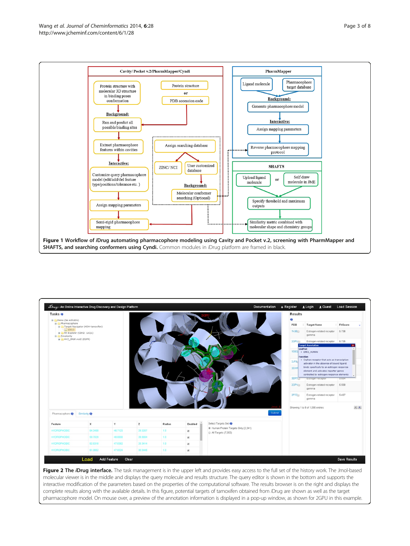<span id="page-2-0"></span>



Figure 2 The *iDrug* interface. The task management is in the upper left and provides easy access to the full set of the history work. The Jmol-based molecular viewer is in the middle and displays the query molecule and results structure. The query editor is shown in the bottom and supports the interactive modification of the parameters based on the properties of the computational software. The results browser is on the right and displays the complete results along with the available details. In this figure, potential targets of tamoxifen obtained from iDrug are shown as well as the target pharmacophore model. On mouse over, a preview of the annotation information is displayed in a pop-up window, as shown for 2GPU in this example.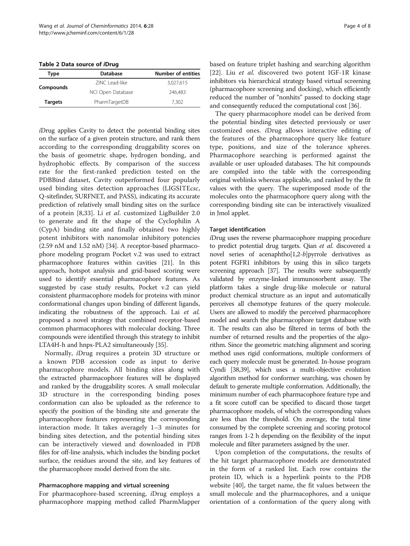<span id="page-3-0"></span>Table 2 Data source of iDrug

| Type           | Database          | <b>Number of entities</b> |
|----------------|-------------------|---------------------------|
| Compounds      | ZINC Lead-like    | 3,027,615                 |
|                | NCI Open Database | 246.483                   |
| <b>Targets</b> | PharmTargetDB     | 7.302                     |
|                |                   |                           |

iDrug applies Cavity to detect the potential binding sites on the surface of a given protein structure, and rank them according to the corresponding druggability scores on the basis of geometric shape, hydrogen bonding, and hydrophobic effects. By comparison of the success rate for the first-ranked prediction tested on the PDBBind dataset, Cavity outperformed four popularly used binding sites detection approaches (LIGSITEcsc, Q-sitefinder, SURFNET, and PASS), indicating its accurate prediction of relatively small binding sites on the surface of a protein [[8,](#page-6-0)[33](#page-7-0)]. Li et al. customized LigBuilder 2.0 to generate and fit the shape of the Cyclophilin A (CypA) binding site and finally obtained two highly potent inhibitors with nanomolar inhibitory potencies (2.59 nM and 1.52 nM) [\[34\]](#page-7-0). A receptor-based pharmacophore modeling program Pocket v.2 was used to extract pharmacophore features within cavities [\[21\]](#page-6-0). In this approach, hotspot analysis and grid-based scoring were used to identify essential pharmacophore features. As suggested by case study results, Pocket v.2 can yield consistent pharmacophore models for proteins with minor conformational changes upon binding of different ligands, indicating the robustness of the approach. Lai et al. proposed a novel strategy that combined receptor-based common pharmacophores with molecular docking. Three compounds were identified through this strategy to inhibit LTA4H-h and hnps-PLA2 simultaneously [\[35\]](#page-7-0).

Normally, iDrug requires a protein 3D structure or a known PDB accession code as input to derive pharmacophore models. All binding sites along with the extracted pharmacophore features will be displayed and ranked by the druggability scores. A small molecular 3D structure in the corresponding binding poses conformation can also be uploaded as the reference to specify the position of the binding site and generate the pharmacophore features representing the corresponding interaction mode. It takes averagely 1–3 minutes for binding sites detection, and the potential binding sites can be interactively viewed and downloaded in PDB files for off-line analysis, which includes the binding pocket surface, the residues around the site, and key features of the pharmacophore model derived from the site.

#### Pharmacophore mapping and virtual screening

For pharmacophore-based screening, iDrug employs a pharmacophore mapping method called PharmMapper based on feature triplet hashing and searching algorithm [[22\]](#page-6-0). Liu et al. discovered two potent IGF-1R kinase inhibitors via hierarchical strategy based virtual screening (pharmacophore screening and docking), which efficiently reduced the number of "nonhits" passed to docking stage and consequently reduced the computational cost [[36](#page-7-0)].

The query pharmacophore model can be derived from the potential binding sites detected previously or user customized ones. iDrug allows interactive editing of the features of the pharmacophore query like feature type, positions, and size of the tolerance spheres. Pharmacophore searching is performed against the available or user uploaded databases. The hit compounds are compiled into the table with the corresponding original weblinks whereas applicable, and ranked by the fit values with the query. The superimposed mode of the molecules onto the pharmacophore query along with the corresponding binding site can be interactively visualized in Jmol applet.

#### Target identification

iDrug uses the reverse pharmacophore mapping procedure to predict potential drug targets. Qian et al. discovered a novel series of acenaphtho[1,2-b]pyrrole derivatives as potent FGFR1 inhibitors by using this in silico targets screening approach [\[37](#page-7-0)]. The results were subsequently validated by enzyme-linked immunosorbent assay. The platform takes a single drug-like molecule or natural product chemical structure as an input and automatically perceives all chemotype features of the query molecule. Users are allowed to modify the perceived pharmacophore model and search the pharmacophore target database with it. The results can also be filtered in terms of both the number of returned results and the properties of the algorithm. Since the geometric matching alignment and scoring method uses rigid conformations, multiple conformers of each query molecule must be generated. In-house program Cyndi [\[38,39\]](#page-7-0), which uses a multi-objective evolution algorithm method for conformer searching, was chosen by default to generate multiple conformation. Additionally, the minimum number of each pharmacophore feature type and a fit score cutoff can be specified to discard those target pharmacophore models, of which the corresponding values are less than the threshold. On average, the total time consumed by the complete screening and scoring protocol ranges from 1-2 h depending on the flexibility of the input molecule and filter parameters assigned by the user.

Upon completion of the computations, the results of the hit target pharmacophore models are demonstrated in the form of a ranked list. Each row contains the protein ID, which is a hyperlink points to the PDB website [[40](#page-7-0)], the target name, the fit values between the small molecule and the pharmacophores, and a unique orientation of a conformation of the query along with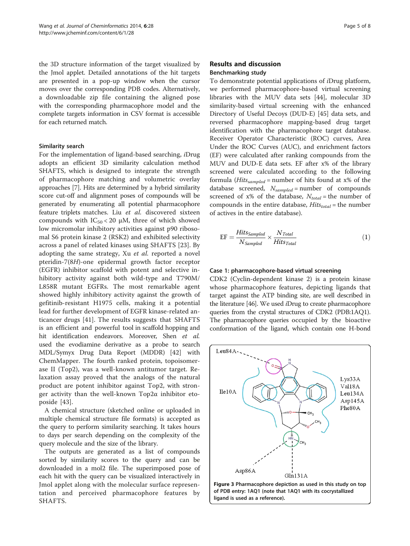<span id="page-4-0"></span>the 3D structure information of the target visualized by the Jmol applet. Detailed annotations of the hit targets are presented in a pop-up window when the cursor moves over the corresponding PDB codes. Alternatively, a downloadable zip file containing the aligned pose with the corresponding pharmacophore model and the complete targets information in CSV format is accessible for each returned match.

#### Similarity search

For the implementation of ligand-based searching, iDrug adopts an efficient 3D similarity calculation method SHAFTS, which is designed to integrate the strength of pharmacophore matching and volumetric overlay approaches [[7\]](#page-6-0). Hits are determined by a hybrid similarity score cut-off and alignment poses of compounds will be generated by enumerating all potential pharmacophore feature triplets matches. Liu et al. discovered sixteen compounds with  $IC_{50}$  < 20  $\mu$ M, three of which showed low micromolar inhibitory activities against p90 ribosomal S6 protein kinase 2 (RSK2) and exhibited selectivity across a panel of related kinases using SHAFTS [[23\]](#page-7-0). By adopting the same strategy, Xu et al. reported a novel pteridin-7(8H)-one epidermal growth factor receptor (EGFR) inhibitor scaffold with potent and selective inhibitory activity against both wild-type and T790M/ L858R mutant EGFRs. The most remarkable agent showed highly inhibitory activity against the growth of gefitinib-resistant H1975 cells, making it a potential lead for further development of EGFR kinase-related anticancer drugs [\[41](#page-7-0)]. The results suggests that SHAFTS is an efficient and powerful tool in scaffold hopping and hit identification endeavors. Moreover, Shen et al. used the evodiamine derivative as a probe to search MDL/Symyx Drug Data Report (MDDR) [\[42](#page-7-0)] with ChemMapper. The fourth ranked protein, topoisomerase II (Top2), was a well-known antitumor target. Relaxation assay proved that the analogs of the natural product are potent inhibitor against Top2, with stronger activity than the well-known Top2α inhibitor etoposide [[43\]](#page-7-0).

A chemical structure (sketched online or uploaded in multiple chemical structure file formats) is accepted as the query to perform similarity searching. It takes hours to days per search depending on the complexity of the query molecule and the size of the library.

The outputs are generated as a list of compounds sorted by similarity scores to the query and can be downloaded in a mol2 file. The superimposed pose of each hit with the query can be visualized interactively in Jmol applet along with the molecular surface representation and perceived pharmacophore features by SHAFTS.

# Results and discussion Benchmarking study

To demonstrate potential applications of iDrug platform, we performed pharmacophore-based virtual screening libraries with the MUV data sets [[44\]](#page-7-0), molecular 3D similarity-based virtual screening with the enhanced Directory of Useful Decoys (DUD-E) [[45\]](#page-7-0) data sets, and reversed pharmacophore mapping-based drug target identification with the pharmacophore target database. Receiver Operator Characteristic (ROC) curves, Area Under the ROC Curves (AUC), and enrichment factors (EF) were calculated after ranking compounds from the MUV and DUD-E data sets. EF after x% of the library screened were calculated according to the following formula (*Hits*<sub>sampled</sub> = number of hits found at x% of the database screened,  $N_{sampled}$  = number of compounds screened of x% of the database,  $N_{total}$  = the number of compounds in the entire database,  $Hits_{total}$  = the number of actives in the entire database).

$$
EF = \frac{Hits_{Sampleed}}{N_{Sampleed}} \times \frac{N_{Total}}{Hits_{Total}}
$$
 (1)

#### Case 1: pharmacophore-based virtual screening

CDK2 (Cyclin-dependent kinase 2) is a protein kinase whose pharmacophore features, depicting ligands that target against the ATP binding site, are well described in the literature [[46](#page-7-0)]. We used iDrug to create pharmacophore queries from the crystal structures of CDK2 (PDB:1AQ1). The pharmacophore queries occupied by the bioactive conformation of the ligand, which contain one H-bond

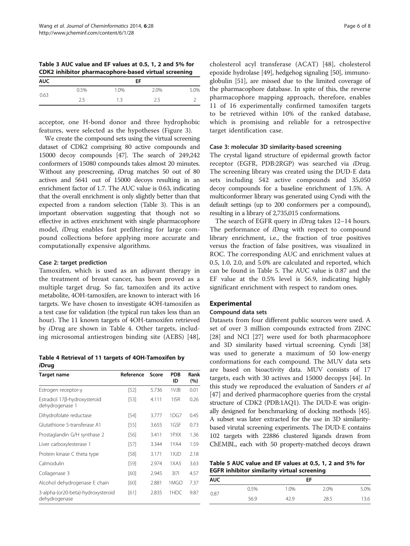Table 3 AUC value and EF values at 0.5, 1, 2 and 5% for CDK2 inhibitor pharmacophore-based virtual screening

| <b>AUC</b> |      |      | EF   |      |
|------------|------|------|------|------|
|            | 0.5% | 1.0% | 2.0% | 5.0% |
| 0.63       | 2.5  | 1.3  | 2.5  |      |

acceptor, one H-bond donor and three hydrophobic features, were selected as the hypotheses (Figure [3](#page-4-0)).

We create the compound sets using the virtual screening dataset of CDK2 comprising 80 active compounds and 15000 decoy compounds [[47](#page-7-0)]. The search of 249,242 conformers of 15080 compounds takes almost 20 minutes. Without any prescreening, iDrug matches 50 out of 80 actives and 5641 out of 15000 decoys resulting in an enrichment factor of 1.7. The AUC value is 0.63, indicating that the overall enrichment is only slightly better than that expected from a random selection (Table 3). This is an important observation suggesting that though not so effective in actives enrichment with single pharmacophore model, iDrug enables fast prefiltering for large compound collections before applying more accurate and computationally expensive algorithms.

#### Case 2: target prediction

Tamoxifen, which is used as an adjuvant therapy in the treatment of breast cancer, has been proved as a multiple target drug. So far, tamoxifen and its active metabolite, 4OH-tamoxifen, are known to interact with 16 targets. We have chosen to investigate 4OH-tamoxifen as a test case for validation (the typical run takes less than an hour). The 11 known targets of 4OH-tamoxifen retrieved by iDrug are shown in Table 4. Other targets, including microsomal antiestrogen binding site (AEBS) [\[48](#page-7-0)],

Table 4 Retrieval of 11 targets of 4OH-Tamoxifen by iDrug

| Target name                                         | Reference | Score | <b>PDB</b><br>ID | Rank<br>(%) |
|-----------------------------------------------------|-----------|-------|------------------|-------------|
| Estrogen receptor-y                                 | [52]      | 5.736 | 1VJB             | 0.01        |
| Estradiol 17β-hydroxysteroid<br>dehydrogenase 1     | [53]      | 4.111 | 115R             | 0.26        |
| Dihydrofolate reductase                             | [54]      | 3.777 | 1 DG 7           | 0.45        |
| Glutathione S-transferase A1                        | [55]      | 3.655 | 1GSF             | 0.73        |
| Prostaglandin G/H synthase 2                        | [56]      | 3.411 | 1PXX             | 1.36        |
| Liver carboxylesterase 1                            | [57]      | 3.344 | 1YA4             | 1.59        |
| Protein kinase C theta type                         | [58]      | 3.171 | 1XJD             | 2.18        |
| Calmodulin                                          | $[59]$    | 2.974 | 1XA5             | 3.63        |
| Collagenase 3                                       | [60]      | 2.945 | 3 7              | 4.57        |
| Alcohol dehydrogenase E chain                       | [60]      | 2.881 | 1MGO             | 7.37        |
| 3-alpha-(or20-beta)-hydroxysteroid<br>dehydrogenase | [61]      | 2.835 | 1HDC             | 9.87        |

cholesterol acyl transferase (ACAT) [[48\]](#page-7-0), cholesterol epoxide hydrolase [[49](#page-7-0)], hedgehog signaling [\[50\]](#page-7-0), immunoglobulin [[51](#page-7-0)], are missed due to the limited coverage of the pharmacophore database. In spite of this, the reverse pharmacophore mapping approach, therefore, enables 11 of 16 experimentally confirmed tamoxifen targets to be retrieved within 10% of the ranked database, which is promising and reliable for a retrospective target identification case.

#### Case 3: molecular 3D similarity-based screening

The crystal ligand structure of epidermal growth factor receptor (EGFR, PDB:2RGP) was searched via iDrug. The screening library was created using the DUD-E data sets including 542 active compounds and 35,050 decoy compounds for a baseline enrichment of 1.5%. A multiconformer library was generated using Cyndi with the default settings (up to 200 conformers per a compound), resulting in a library of 2,735,015 conformations.

The search of EGFR query in iDrug takes 12–14 hours. The performance of iDrug with respect to compound library enrichment, i.e., the fraction of true positives versus the fraction of false positives, was visualized in ROC. The corresponding AUC and enrichment values at 0.5, 1.0, 2.0, and 5.0% are calculated and reported, which can be found in Table 5. The AUC value is 0.87 and the EF value at the 0.5% level is 56.9, indicating highly significant enrichment with respect to random ones.

# Experimental

#### Compound data sets

Datasets from four different public sources were used. A set of over 3 million compounds extracted from ZINC [[28\]](#page-7-0) and NCI [\[27\]](#page-7-0) were used for both pharmacophore and 3D similarity based virtual screening. Cyndi [[38](#page-7-0)] was used to generate a maximum of 50 low-energy conformations for each compound. The MUV data sets are based on bioactivity data. MUV consists of 17 targets, each with 30 actives and 15000 decopys [\[44](#page-7-0)]. In this study we reproduced the evaluation of Sanders et al [[47\]](#page-7-0) and derived pharmacophore queries from the crystal structure of CDK2 (PDB:1AQ1). The DUD-E was originally designed for benchmarking of docking methods [\[45](#page-7-0)]. A subset was later extracted for the use in 3D similaritybased virutal screening experiments. The DUD-E contains 102 targets with 22886 clustered ligands drawn from ChEMBL, each with 50 property-matched decoys drawn

Table 5 AUC value and EF values at 0.5, 1, 2 and 5% for EGFR inhibitor similarity virtual screening

|            |      |      | -    |      |
|------------|------|------|------|------|
| <b>AUC</b> |      |      | EF   |      |
| 0.87       | 0.5% | 1.0% | 2.0% | 5.0% |
|            | 56.9 | 42.9 | 28.5 | 13.6 |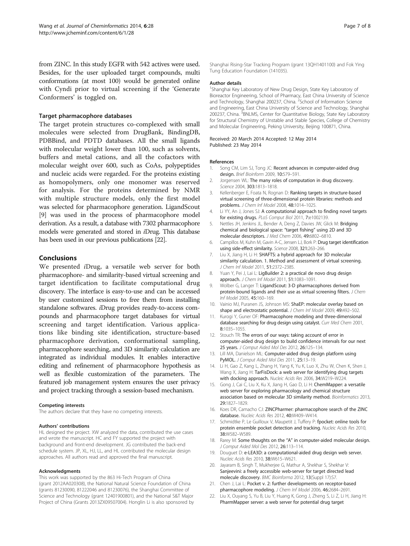<span id="page-6-0"></span>from ZINC. In this study EGFR with 542 actives were used. Besides, for the user uploaded target compounds, multi conformations (at most 100) would be generated online with Cyndi prior to virtual screening if the 'Generate Conformers' is toggled on.

#### Target pharmacophore databases

The target protein structures co-complexed with small molecules were selected from DrugBank, BindingDB, PDBBind, and PDTD databases. All the small ligands with molecular weight lower than 100, such as solvents, buffers and metal cations, and all the cofactors with molecular weight over 600, such as CoAs, polypeptides and nucleic acids were regarded. For the proteins existing as homopolymers, only one monomer was reserved for analysis. For the proteins determined by NMR with multiple structure models, only the first model was selected for pharmacophore generation. LigandScout [9] was used in the process of pharmacophore model derivation. As a result, a database with 7302 pharmacophore models were generated and stored in iDrug. This database has been used in our previous publications [22].

#### Conclusions

We presented iDrug, a versatile web server for both pharmacophore- and similarity-based virtual screening and target identification to facilitate computational drug discovery. The interface is easy-to-use and can be accessed by user customized sessions to free them from installing standalone softwares. iDrug provides ready-to-access compounds and pharmacophore target databases for virtual screening and target identification. Various applications like binding site identification, structure-based pharmacophore derivation, conformational sampling, pharmacophore searching, and 3D similarity calculation are integrated as individual modules. It enables interactive editing and refinement of pharmacophore hypothesis as well as flexible customization of the parameters. The featured job management system ensures the user privacy and project tracking through a session-based mechanism.

#### Competing interests

The authors declare that they have no competing interests.

#### Authors' contributions

HL designed the project. XW analyzed the data, contributed the use cases and wrote the manuscript. HC and FY supported the project with background and front-end development. JG contributed the back-end schedule system. JP, XL, HJ, LL, and HL contributed the molecular design approaches. All authors read and approved the final manuscript.

#### Acknowledgments

This work was supported by the 863 Hi-Tech Program of China (grant 2012AA020308), the National Natural Science Foundation of China (grants 81230090, 81222046 and 81230076), the Shanghai Committee of Science and Technology (grant 12401900801), and the National S&T Major Project of China (Grants 2013ZX09507004). Honglin Li is also sponsored by

Shanghai Rising-Star Tracking Program (grant 13QH1401100) and Fok Ying Tung Education Foundation (141035).

#### Author details

<sup>1</sup>Shanghai Key Laboratory of New Drug Design, State Key Laboratory of Bioreactor Engineering, School of Pharmacy, East China University of Science and Technology, Shanghai 200237, China. <sup>2</sup>School of Information Science and Engineering, East China University of Science and Technology, Shanghai 200237, China. <sup>3</sup>BNLMS, Center for Quantitative Biology, State Key Laboratory for Structural Chemistry of Unstable and Stable Species, College of Chemistry and Molecular Engineering, Peking University, Beijing 100871, China.

Received: 20 March 2014 Accepted: 12 May 2014 Published: 23 May 2014

#### References

- 1. Song CM, Lim SJ, Tong JC: Recent advances in computer-aided drug design. Brief Bioinform 2009, 10:579–591.
- 2. Jorgensen WL: The many roles of computation in drug discovery. Science 2004, 303:1813–1818.
- Kellenberger E, Foata N, Rognan D: Ranking targets in structure-based virtual screening of three-dimensional protein libraries: methods and problems. J Chem Inf Model 2008, 48:1014–1025.
- 4. Li YY, An J, Jones SJ: A computational approach to finding novel targets for existing drugs. PLoS Comput Biol 2011, 7:e1002139.
- 5. Nettles JH, Jenkins JL, Bender A, Deng Z, Davies JW, Glick M: Bridging chemical and biological space: "target fishing" using 2D and 3D molecular descriptors. J Med Chem 2006, 49:6802–6810.
- 6. Campillos M, Kuhn M, Gavin A-C, Jensen LJ, Bork P: Drug target identification using side-effect similarity. Science 2008, 321:263–266.
- 7. Liu X, Jiang H, Li H: SHAFTS: a hybrid approach for 3D molecular similarity calculation. 1. Method and assessment of virtual screening. J Chem Inf Model 2011, 51:2372–2385.
- 8. Yuan Y, Pei J, Lai L: LigBuilder 2: a practical de novo drug design approach. J Chem Inf Model 2011, 51:1083–1091.
- 9. Wolber G, Langer T: LigandScout: 3-D pharmacophores derived from protein-bound ligands and their use as virtual screening filters. J Chem Inf Model 2005, 45:160–169.
- 10. Vainio MJ, Puranen JS, Johnson MS: ShaEP: molecular overlay based on shape and electrostatic potential. J Chem Inf Model 2009, 49:492-502.
- 11. Kurogi Y, Guner OF: Pharmacophore modeling and three-dimensional database searching for drug design using catalyst. Curr Med Chem 2001, 8:1035–1055.
- 12. Stouch TR: The errors of our ways: taking account of error in computer-aided drug design to build confidence intervals for our next 25 years. J Comput Aided Mol Des 2012, 26:125–134.
- 13. Lill MA, Danielson ML: Computer-aided drug design platform using PyMOL. J Comput Aided Mol Des 2011, 25:13–19.
- 14. Li H, Gao Z, Kang L, Zhang H, Yang K, Yu K, Luo X, Zhu W, Chen K, Shen J, Wang X, Jiang H: TarFisDock: a web server for identifying drug targets with docking approach. Nucleic Acids Res 2006, 34:W219–W224.
- 15. Gong J, Cai C, Liu X, Ku X, Jiang H, Gao D, Li H: ChemMapper: a versatile web server for exploring pharmacology and chemical structure association based on molecular 3D similarity method. Bioinformatics 2013, 29:1827–1829.
- 16. Koes DR, Camacho CJ: ZINCPharmer: pharmacophore search of the ZINC database. Nucleic Acids Res 2012, 40:W409–W414.
- 17. Schmidtke P, Le Guilloux V, Maupetit J, Tuffery P: fpocket: online tools for protein ensemble pocket detection and tracking. Nucleic Acids Res 2010, 38:W582–W589.
- 18. Rarey M: Some thoughts on the "A" in computer-aided molecular design. J Comput Aided Mol Des 2012, 26:113–114.
- 19. Douguet D: e-LEA3D: a computational-aided drug design web server. Nucleic Acids Res 2010, 38:W615–W621.
- 20. Jayaram B, Singh T, Mukherjee G, Mathur A, Shekhar S, Shekhar V: Sanjeevini: a freely accessible web-server for target directed lead molecule discovery. BMC Bioinforma 2012, 13(Suppl 17):S7.
- 21. Chen J, Lai L: Pocket v. 2: further developments on receptor-based pharmacophore modeling. J Chem Inf Model 2006, 46:2684–2691.
- 22. Liu X, Ouyang S, Yu B, Liu Y, Huang K, Gong J, Zheng S, Li Z, Li H, Jiang H: PharmMapper server: a web server for potential drug target